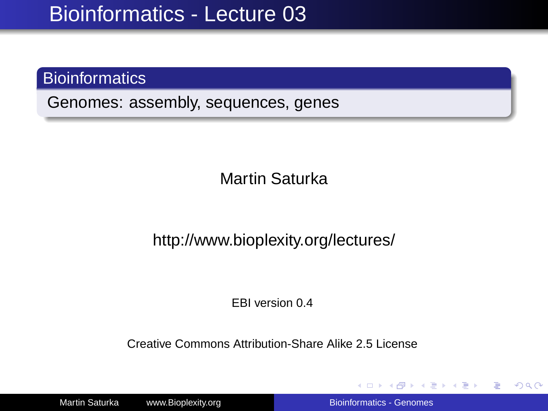#### **Bioinformatics**

Genomes: assembly, sequences, genes

Martin Saturka

http://www.bioplexity.org/lectures/

EBI version 0.4

Creative Commons Attribution-Share Alike 2.5 License

Martin Saturka www.Bioplexity.org **Biomes** [Bioinformatics - Genomes](#page-31-0)

イロト イ押 トイヨ トイヨ トー

÷.

<span id="page-0-0"></span> $2Q$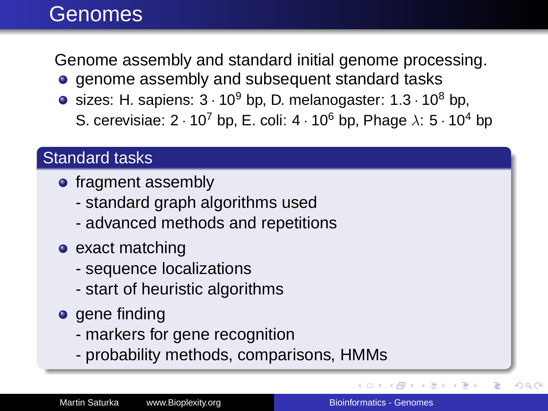### Genomes

Genome assembly and standard initial genome processing.

- **e** genome assembly and subsequent standard tasks
- sizes: H. sapiens:  $3 \cdot 10^9$  bp, D. melanogaster:  $1.3 \cdot 10^8$  bp, S. cerevisiae:  $2 \cdot 10^7$  bp, E. coli:  $4 \cdot 10^6$  bp, Phage  $\lambda$ :  $5 \cdot 10^4$  bp

#### Standard tasks

- fragment assembly
	- standard graph algorithms used
	- advanced methods and repetitions
- exact matching
	- sequence localizations
	- start of heuristic algorithms
- **o** gene finding
	- markers for gene recognition
	- probability methods, comparisons, HMMs

E

 $290$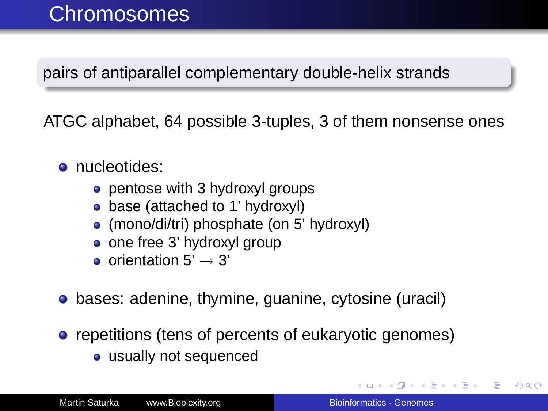### Chromosomes

pairs of antiparallel complementary double-helix strands

ATGC alphabet, 64 possible 3-tuples, 3 of them nonsense ones

- **o** nucleotides:
	- pentose with 3 hydroxyl groups
	- base (attached to 1' hydroxyl)
	- (mono/di/tri) phosphate (on 5' hydroxyl)
	- one free 3' hydroxyl group
	- o orientation  $5' \rightarrow 3'$
- **•** bases: adenine, thymine, guanine, cytosine (uracil)
- repetitions (tens of percents of eukaryotic genomes)
	- usually not sequenced

イロト イ押 トイヨ トイヨ トー

B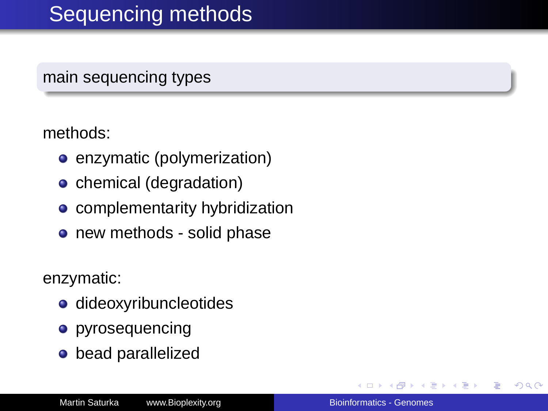## Sequencing methods

main sequencing types

methods:

- **e** enzymatic (polymerization)
- **c** chemical (degradation)
- **•** complementarity hybridization
- new methods solid phase

enzymatic:

- dideoxyribuncleotides
- **o** pyrosequencing
- **o** bead parallelized

4 重 8

B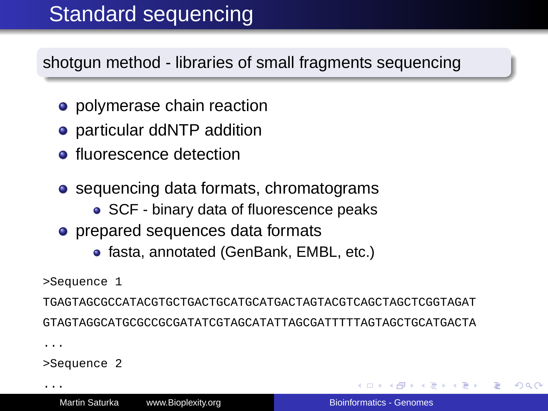# Standard sequencing

shotgun method - libraries of small fragments sequencing

- polymerase chain reaction
- particular ddNTP addition
- **•** fluorescence detection
- sequencing data formats, chromatograms
	- SCF binary data of fluorescence peaks
- prepared sequences data formats
	- fasta, annotated (GenBank, EMBL, etc.)

```
>Sequence 1
```
TGAGTAGCGCCATACGTGCTGACTGCATGCATGACTAGTACGTCAGCTAGCTCGGTAGAT GTAGTAGGCATGCGCCGCGATATCGTAGCATATTAGCGATTTTTAGTAGCTGCATGACTA

...

>Sequence 2

...

<span id="page-4-0"></span>ミド イヨト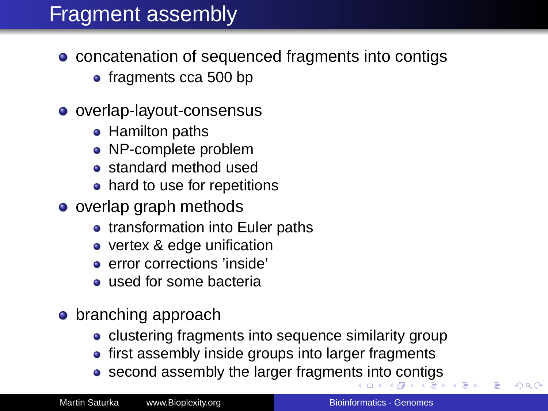## Fragment assembly

- concatenation of sequenced fragments into contigs
	- fragments cca 500 bp
- o overlap-layout-consensus
	- Hamilton paths
	- NP-complete problem
	- standard method used
	- hard to use for repetitions
- o overlap graph methods
	- transformation into Euler paths
	- vertex & edge unification
	- **e** error corrections 'inside'
	- **used for some bacteria**
- **•** branching approach
	- clustering fragments into sequence similarity group
	- first assembly inside groups into larger fragments
	- second assembly the larger fragmen[ts](#page-4-0) i[nt](#page-6-0)[o](#page-4-0) [co](#page-5-0)[n](#page-6-0)[tig](#page-0-0)[s](#page-31-0)

<span id="page-5-0"></span> $2990$ 

∢ 重→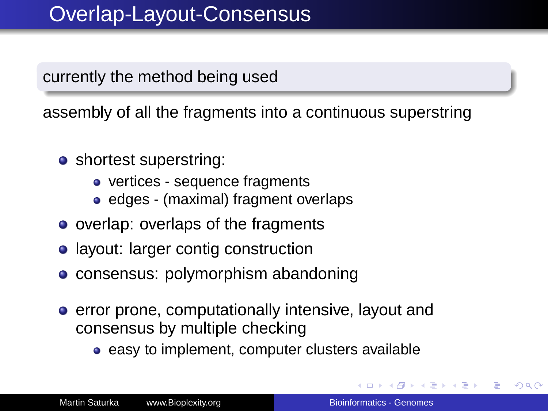currently the method being used

assembly of all the fragments into a continuous superstring

- shortest superstring:
	- vertices sequence fragments
	- edges (maximal) fragment overlaps
- overlap: overlaps of the fragments
- layout: larger contig construction
- consensus: polymorphism abandoning
- **e** error prone, computationally intensive, layout and consensus by multiple checking
	- easy to implement, computer clusters available

4 重 8

<span id="page-6-0"></span> $2Q$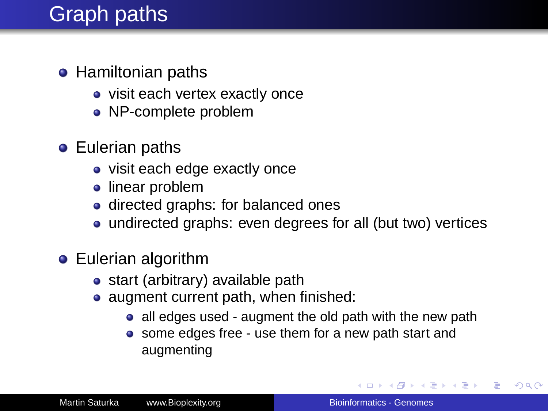# Graph paths

- **•** Hamiltonian paths
	- visit each vertex exactly once
	- NP-complete problem
- **•** Eulerian paths
	- visit each edge exactly once
	- linear problem
	- directed graphs: for balanced ones
	- undirected graphs: even degrees for all (but two) vertices
- **•** Eulerian algorithm
	- start (arbitrary) available path
	- augment current path, when finished:
		- all edges used augment the old path with the new path
		- some edges free use them for a new path start and augmenting

**K ロ ト K 何 ト K ヨ ト K ヨ ト**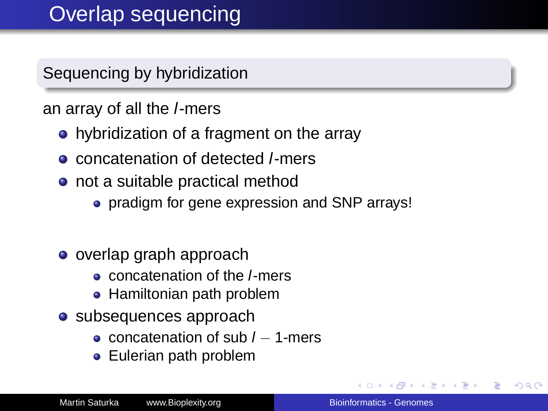#### Sequencing by hybridization

#### an array of all the l-mers

- hybridization of a fragment on the array
- **o** concatenation of detected *l*-mers
- not a suitable practical method
	- pradigm for gene expression and SNP arrays!
- o overlap graph approach
	- concatenation of the l-mers
	- Hamiltonian path problem
- subsequences approach
	- concatenation of sub  $l 1$ -mers
	- Eulerian path problem

4 重 8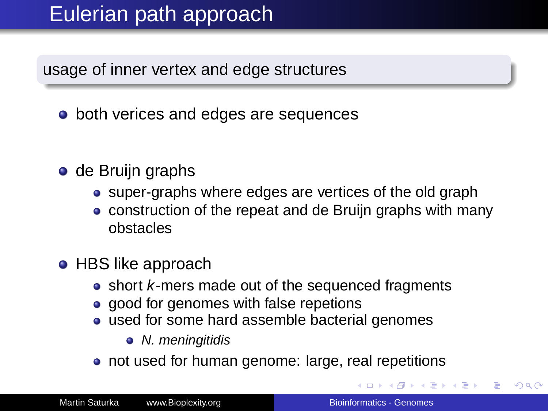## Eulerian path approach

usage of inner vertex and edge structures

- both verices and edges are sequences
- o de Bruijn graphs
	- super-graphs where edges are vertices of the old graph
	- construction of the repeat and de Bruijn graphs with many obstacles
- HBS like approach
	- short *k*-mers made out of the sequenced fragments
	- good for genomes with false repetions
	- used for some hard assemble bacterial genomes
		- N. meningitidis
	- not used for human genome: large, real repetitions

**K ロ ト K 何 ト K ヨ ト K ヨ ト**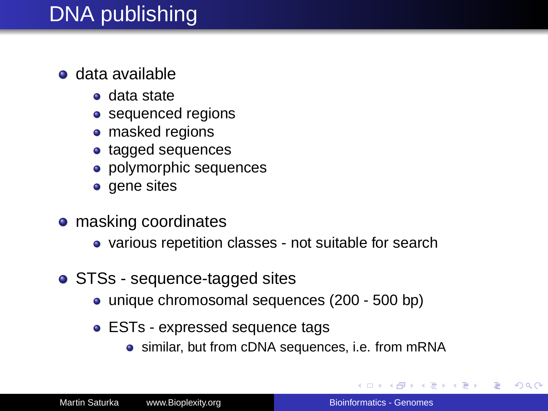## DNA publishing

- data available
	- data state
	- sequenced regions
	- masked regions
	- tagged sequences
	- polymorphic sequences
	- gene sites
- **o** masking coordinates
	- various repetition classes not suitable for search
- STSs sequence-tagged sites
	- unique chromosomal sequences (200 500 bp)
	- ESTs expressed sequence tags
		- similar, but from cDNA sequences, i.e. from mRNA

 $\mathcal{A} \xrightarrow{\sim} \mathcal{B} \rightarrow \mathcal{A} \xrightarrow{\sim} \mathcal{B} \rightarrow \mathcal{B}$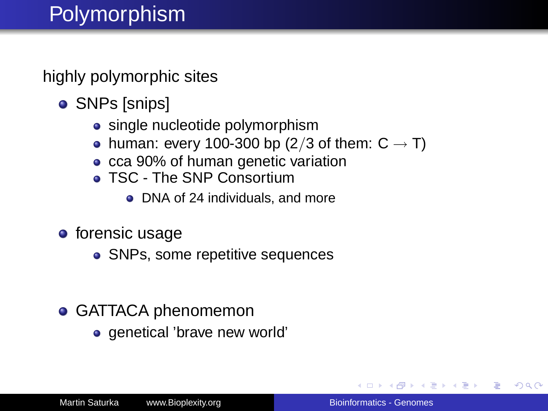## Polymorphism

highly polymorphic sites

- **SNPs [snips]** 
	- single nucleotide polymorphism
	- human: every 100-300 bp (2/3 of them:  $C \rightarrow T$ )
	- cca 90% of human genetic variation
	- **TSC The SNP Consortium** 
		- DNA of 24 individuals, and more
- **o** forensic usage
	- SNPs, some repetitive sequences
- **GATTACA phenomemon** 
	- genetical 'brave new world'

→ 重き → 重き

 $QQ$ э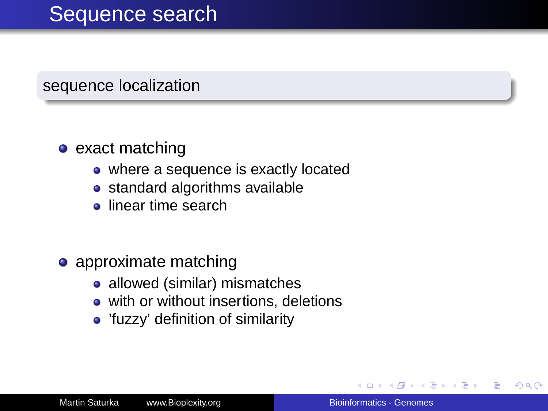#### sequence localization

#### $\bullet$  exact matching

- where a sequence is exactly located
- standard algorithms available
- **o** linear time search
- approximate matching
	- allowed (similar) mismatches
	- with or without insertions, deletions
	- 'fuzzy' definition of similarity

4 重 8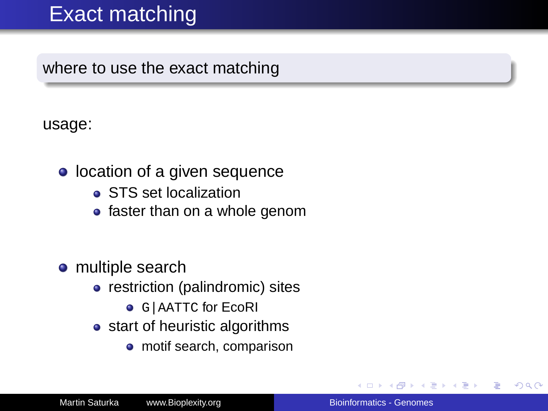## Exact matching

where to use the exact matching

usage:

- location of a given sequence
	- STS set localization
	- faster than on a whole genom
- **•** multiple search
	- restriction (palindromic) sites
		- **G|AATTC for EcoRI**
	- start of heuristic algorithms
		- motif search, comparison

重き ă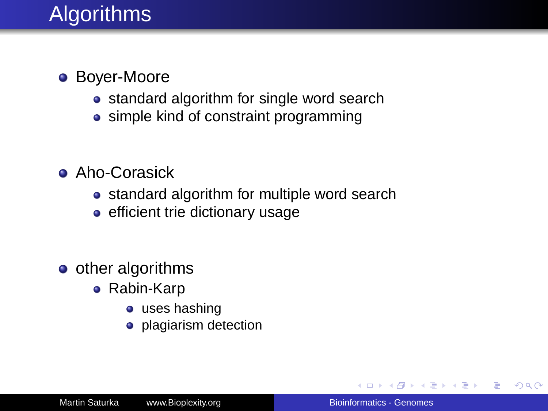## **Algorithms**

- **Boyer-Moore** 
	- standard algorithm for single word search
	- simple kind of constraint programming
- **Aho-Corasick** 
	- standard algorithm for multiple word search
	- efficient trie dictionary usage
- $\bullet$  other algorithms
	- Rabin-Karp
		- $\bullet$  uses hashing
		- **•** plagiarism detection

医电子 医医子宫

B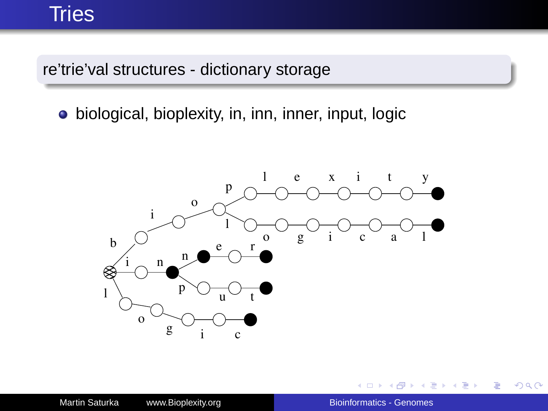#### **Tries**

re'trie'val structures - dictionary storage

biological, bioplexity, in, inn, inner, input, logic



 $\leftarrow$ 

 $2990$ 

重き ÷.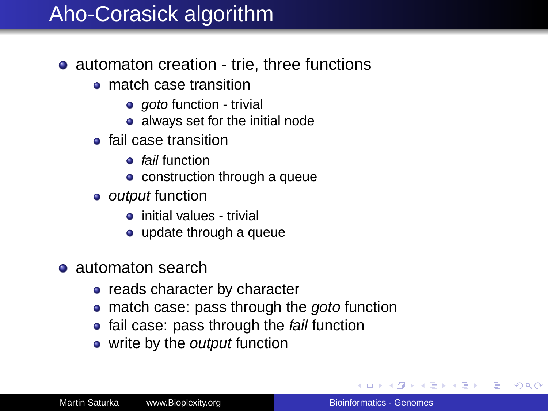# Aho-Corasick algorithm

- automaton creation trie, three functions
	- **o** match case transition
		- goto function trivial
		- always set for the initial node
	- **o** fail case transition
		- **o** fail function
		- **•** construction through a queue
	- *output* function
		- **o** initial values trivial
		- update through a queue
- **a** automaton search
	- reads character by character
	- match case: pass through the goto function
	- fail case: pass through the fail function
	- write by the *output* function

イロト イ団ト イヨト イヨト

<span id="page-16-0"></span>B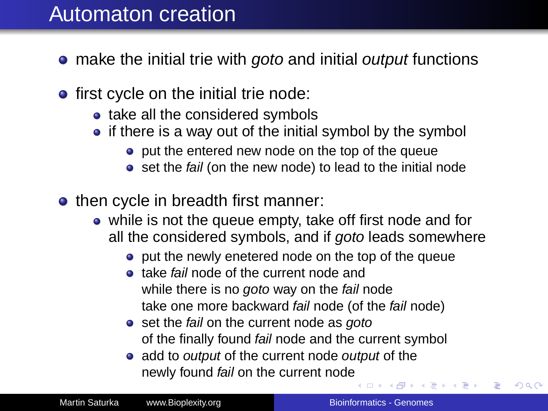### Automaton creation

- make the initial trie with goto and initial output functions
- $\bullet$  first cycle on the initial trie node:
	- take all the considered symbols
	- $\bullet$  if there is a way out of the initial symbol by the symbol
		- **•** put the entered new node on the top of the queue
		- set the fail (on the new node) to lead to the initial node
- then cycle in breadth first manner:
	- while is not the queue empty, take off first node and for all the considered symbols, and if goto leads somewhere
		- **•** put the newly enetered node on the top of the queue
		- **•** take fail node of the current node and while there is no goto way on the fail node take one more backward fail node (of the fail node)
		- set the fail on the current node as goto of the finally found fail node and the current symbol
		- add to *output* of the current node *output* of the newly found fail on the current nod[e](#page-16-0)

4 重 8

 $2Q$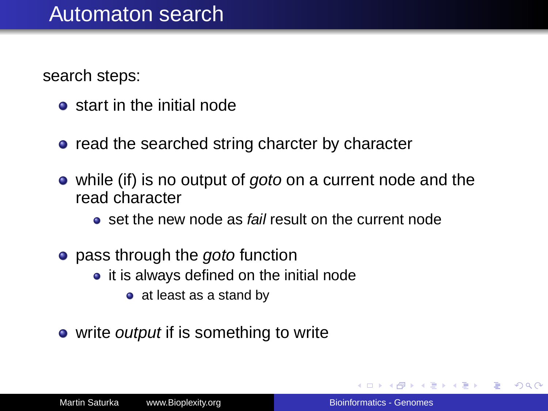search steps:

- **•** start in the initial node
- read the searched string charcter by character
- while (if) is no output of *goto* on a current node and the read character
	- **e** set the new node as fail result on the current node
- pass through the *goto* function
	- it is always defined on the initial node
		- at least as a stand by
- write *output* if is something to write

メラメメラメー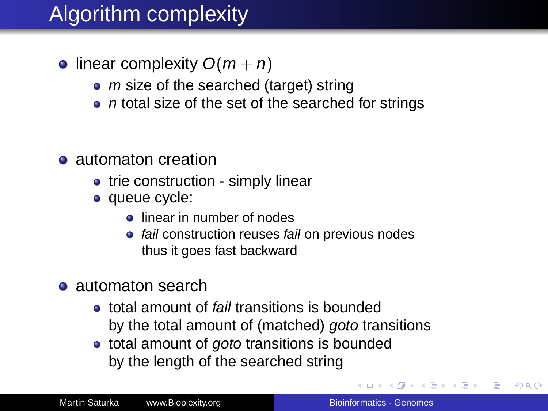# Algorithm complexity

- linear complexity  $O(m + n)$ 
	- $\bullet$  *m* size of the searched (target) string
	- $\bullet$  n total size of the set of the searched for strings
- automaton creation
	- trie construction simply linear
	- queue cycle:
		- **e** linear in number of nodes
		- fail construction reuses fail on previous nodes thus it goes fast backward
- **a** automaton search
	- **•** total amount of *fail* transitions is bounded by the total amount of (matched) goto transitions
	- total amount of goto transitions is bounded by the length of the searched string

イロト イ押 トイヨ トイヨ トー

B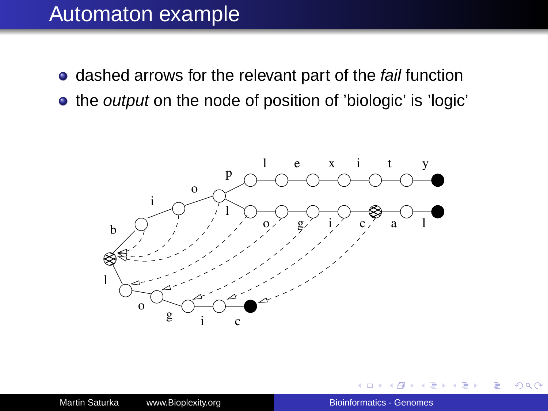#### Automaton example

- dashed arrows for the relevant part of the fail function
- the *output* on the node of position of 'biologic' is 'logic'



Þ

 $\rightarrow$ 

ă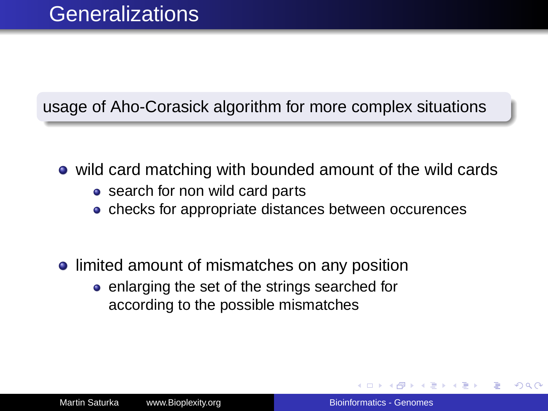#### usage of Aho-Corasick algorithm for more complex situations

- wild card matching with bounded amount of the wild cards
	- search for non wild card parts
	- checks for appropriate distances between occurences
- **.** limited amount of mismatches on any position
	- enlarging the set of the strings searched for according to the possible mismatches

つひへ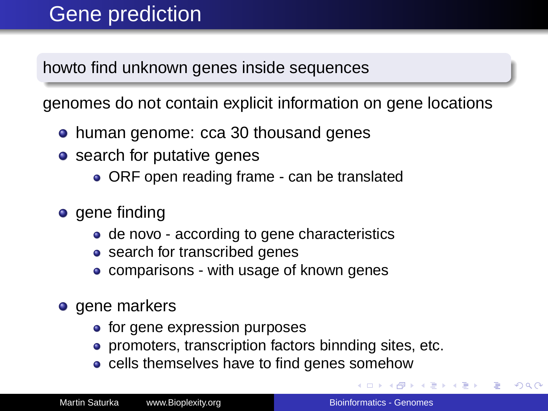## Gene prediction

howto find unknown genes inside sequences

genomes do not contain explicit information on gene locations

- human genome: cca 30 thousand genes
- search for putative genes
	- ORF open reading frame can be translated
- gene finding
	- de novo according to gene characteristics
	- search for transcribed genes
	- comparisons with usage of known genes
- **o** gene markers
	- for gene expression purposes
	- **•** promoters, transcription factors binnding sites, etc.
	- cells themselves have to find genes somehow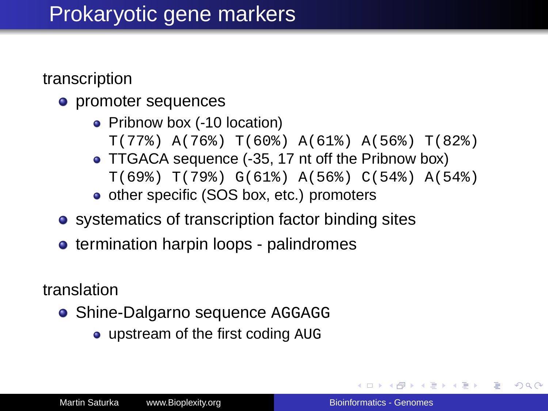### Prokaryotic gene markers

transcription

- promoter sequences
	- Pribnow box (-10 location) T(77%) A(76%) T(60%) A(61%) A(56%) T(82%)
	- TTGACA sequence (-35, 17 nt off the Pribnow box) T(69%) T(79%) G(61%) A(56%) C(54%) A(54%)
	- o other specific (SOS box, etc.) promoters
- systematics of transcription factor binding sites
- termination harpin loops palindromes

translation

- **Shine-Dalgarno sequence AGGAGG** 
	- upstream of the first coding AUG

**≮ロ ▶ ⊀ 御 ▶ ⊀ ヨ ▶ ⊀ ヨ ▶** 

÷.  $QQ$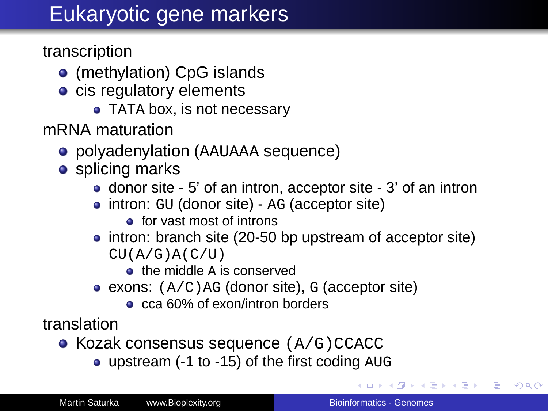# Eukaryotic gene markers

transcription

- (methylation) CpG islands
- **c** cis regulatory elements
	- TATA box, is not necessary

mRNA maturation

- polyadenylation (AAUAAA sequence)
- **o** splicing marks
	- donor site 5' of an intron, acceptor site 3' of an intron
	- intron: GU (donor site) AG (acceptor site)
		- **e** for vast most of introns
	- intron: branch site (20-50 bp upstream of acceptor site)  $CU(A/G)A(C/U)$ 
		- **o** the middle A is conserved
	- exons:  $(A/C)$  ag (donor site), g (acceptor site)
		- cca 60% of exon/intron borders

translation

- $\bullet$  Kozak consensus sequence  $(A/G)$ CCACC
	- upstream (-1 to -15) of the first coding AUG

÷.  $QQ$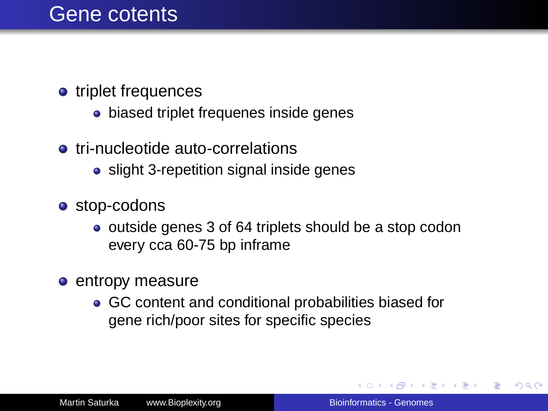#### Gene cotents

- triplet frequences
	- biased triplet frequenes inside genes
- **•** tri-nucleotide auto-correlations
	- slight 3-repetition signal inside genes
- **o** stop-codons
	- outside genes 3 of 64 triplets should be a stop codon every cca 60-75 bp inframe
- **e** entropy measure
	- GC content and conditional probabilities biased for gene rich/poor sites for specific species

→ 重き → 重き

ă.  $QQ$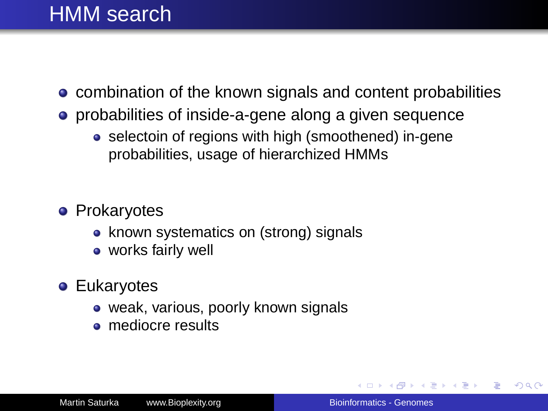### HMM search

- **combination of the known signals and content probabilities**
- **•** probabilities of inside-a-gene along a given sequence
	- selectoin of regions with high (smoothened) in-gene probabilities, usage of hierarchized HMMs
- **•** Prokaryotes
	- known systematics on (strong) signals
	- works fairly well
- **•** Eukaryotes
	- weak, various, poorly known signals
	- **·** mediocre results

イロト イ押 トイヨ トイヨト

B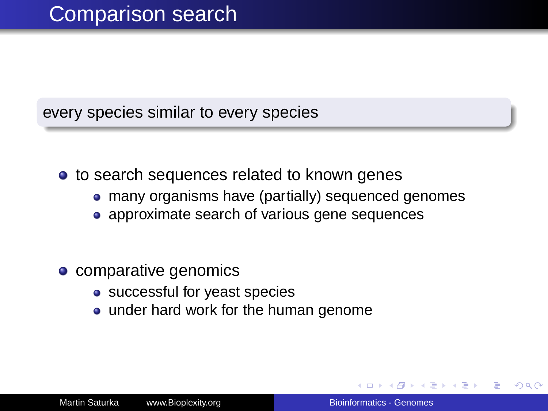every species similar to every species

- to search sequences related to known genes
	- many organisms have (partially) sequenced genomes
	- approximate search of various gene sequences
- comparative genomics
	- successful for yeast species
	- under hard work for the human genome

つくい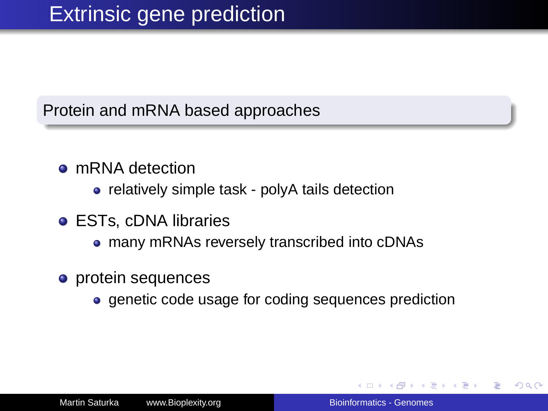#### Protein and mRNA based approaches

#### **o** mRNA detection

• relatively simple task - polyA tails detection

- ESTs, cDNA libraries
	- many mRNAs reversely transcribed into cDNAs
- **o** protein sequences
	- genetic code usage for coding sequences prediction

ぼう メモト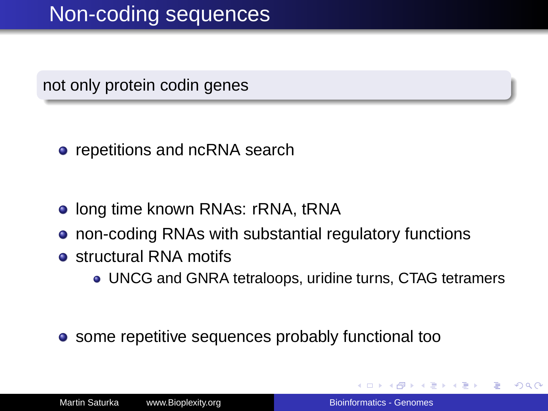not only protein codin genes

- repetitions and ncRNA search
- **.** Iong time known RNAs: rRNA, tRNA
- non-coding RNAs with substantial regulatory functions
- **o** structural RNA motifs
	- UNCG and GNRA tetraloops, uridine turns, CTAG tetramers
- **•** some repetitive sequences probably functional too

4 重 8

つへへ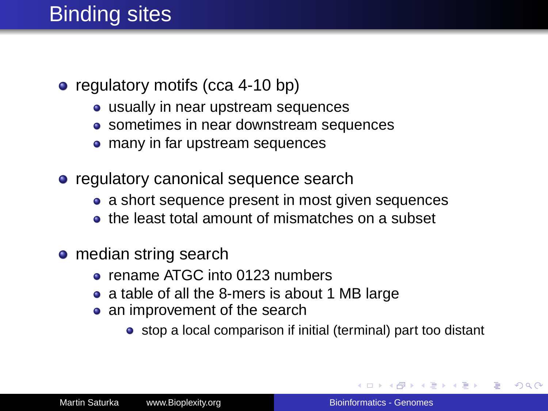## Binding sites

- regulatory motifs (cca 4-10 bp)
	- usually in near upstream sequences
	- sometimes in near downstream sequences
	- many in far upstream sequences
- regulatory canonical sequence search
	- a short sequence present in most given sequences
	- **the least total amount of mismatches on a subset**
- median string search
	- rename ATGC into 0123 numbers
	- a table of all the 8-mers is about 1 MB large
	- an improvement of the search
		- stop a local comparison if initial (terminal) part too distant

 $\left\{ \bigoplus_{i=1}^{n} \mathbb{P} \left( \mathcal{A} \right) \subseteq \mathbb{P} \left( \mathcal{A} \right) \subseteq \mathbb{P} \right\}$